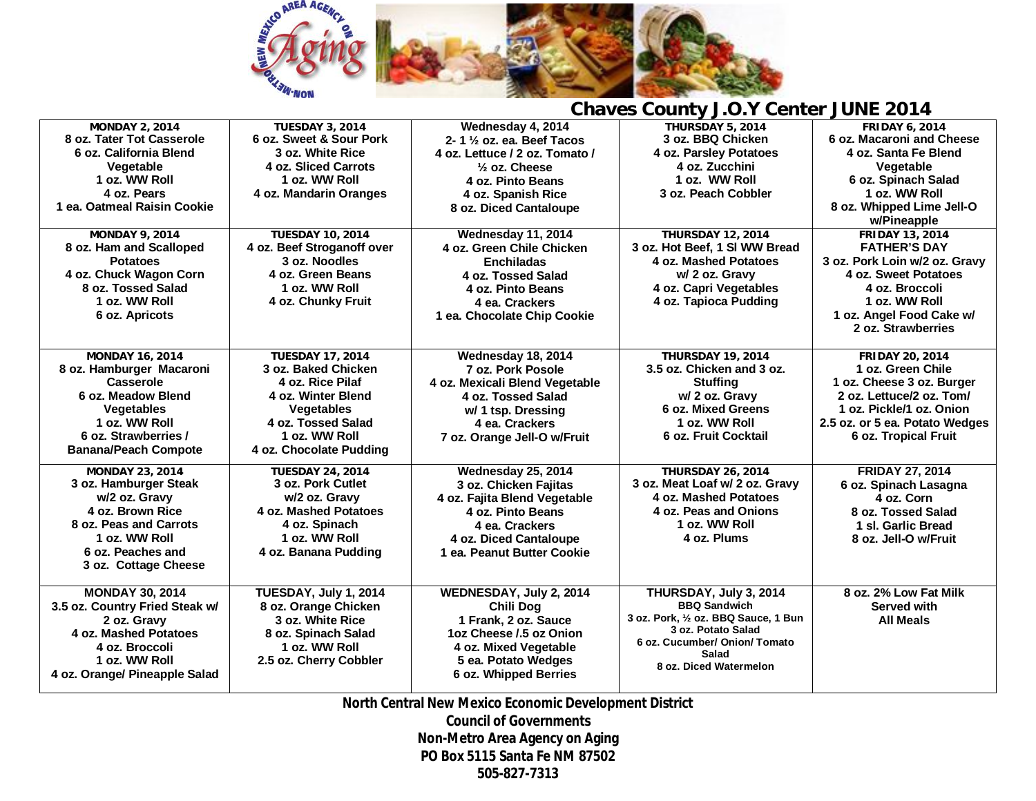

| <b>Chaves County J.O.Y Center JUNE 2014</b> |  |
|---------------------------------------------|--|
|---------------------------------------------|--|

| <b>MONDAY 2, 2014</b>          | <b>TUESDAY 3, 2014</b>     | Wednesday 4, 2014                    | <b>THURSDAY 5, 2014</b>              | <b>FRIDAY 6, 2014</b>          |
|--------------------------------|----------------------------|--------------------------------------|--------------------------------------|--------------------------------|
| 8 oz. Tater Tot Casserole      | 6 oz. Sweet & Sour Pork    | 2-1 $\frac{1}{2}$ oz. ea. Beef Tacos | 3 oz. BBQ Chicken                    | 6 oz. Macaroni and Cheese      |
| 6 oz. California Blend         | 3 oz. White Rice           | 4 oz. Lettuce / 2 oz. Tomato /       | 4 oz. Parsley Potatoes               | 4 oz. Santa Fe Blend           |
| Vegetable                      | 4 oz. Sliced Carrots       | $\frac{1}{2}$ oz. Cheese             | 4 oz. Zucchini                       | Vegetable                      |
| 1 oz. WW Roll                  | 1 oz. WW Roll              | 4 oz. Pinto Beans                    | 1 oz. WW Roll                        | 6 oz. Spinach Salad            |
| 4 oz. Pears                    | 4 oz. Mandarin Oranges     | 4 oz. Spanish Rice                   | 3 oz. Peach Cobbler                  | 1 oz. WW Roll                  |
| 1 ea. Oatmeal Raisin Cookie    |                            | 8 oz. Diced Cantaloupe               |                                      | 8 oz. Whipped Lime Jell-O      |
|                                |                            |                                      |                                      | w/Pineapple                    |
| <b>MONDAY 9, 2014</b>          | <b>TUESDAY 10, 2014</b>    | Wednesday 11, 2014                   | <b>THURSDAY 12, 2014</b>             | <b>FRIDAY 13, 2014</b>         |
| 8 oz. Ham and Scalloped        | 4 oz. Beef Stroganoff over | 4 oz. Green Chile Chicken            | 3 oz. Hot Beef, 1 SI WW Bread        | <b>FATHER'S DAY</b>            |
| <b>Potatoes</b>                | 3 oz. Noodles              | <b>Enchiladas</b>                    | 4 oz. Mashed Potatoes                | 3 oz. Pork Loin w/2 oz. Gravy  |
| 4 oz. Chuck Wagon Corn         | 4 oz. Green Beans          | 4 oz. Tossed Salad                   | w/ 2 oz. Gravy                       | 4 oz. Sweet Potatoes           |
| 8 oz. Tossed Salad             | 1 oz. WW Roll              | 4 oz. Pinto Beans                    | 4 oz. Capri Vegetables               | 4 oz. Broccoli                 |
| 1 oz. WW Roll                  | 4 oz. Chunky Fruit         | 4 ea. Crackers                       | 4 oz. Tapioca Pudding                | 1 oz. WW Roll                  |
| 6 oz. Apricots                 |                            | 1 ea. Chocolate Chip Cookie          |                                      | 1 oz. Angel Food Cake w/       |
|                                |                            |                                      |                                      | 2 oz. Strawberries             |
|                                |                            |                                      |                                      |                                |
| <b>MONDAY 16, 2014</b>         | <b>TUESDAY 17, 2014</b>    | Wednesday 18, 2014                   | <b>THURSDAY 19, 2014</b>             | <b>FRIDAY 20, 2014</b>         |
| 8 oz. Hamburger Macaroni       | 3 oz. Baked Chicken        | 7 oz. Pork Posole                    | 3.5 oz. Chicken and 3 oz.            | 1 oz. Green Chile              |
| <b>Casserole</b>               | 4 oz. Rice Pilaf           | 4 oz. Mexicali Blend Vegetable       | <b>Stuffing</b>                      | 1 oz. Cheese 3 oz. Burger      |
| 6 oz. Meadow Blend             | 4 oz. Winter Blend         | 4 oz. Tossed Salad                   | w/ 2 oz. Gravy                       | 2 oz. Lettuce/2 oz. Tom/       |
| <b>Vegetables</b>              | Vegetables                 | w/ 1 tsp. Dressing                   | 6 oz. Mixed Greens                   | 1 oz. Pickle/1 oz. Onion       |
| 1 oz. WW Roll                  | 4 oz. Tossed Salad         | 4 ea. Crackers                       | 1 oz. WW Roll                        | 2.5 oz. or 5 ea. Potato Wedges |
| 6 oz. Strawberries /           | 1 oz. WW Roll              | 7 oz. Orange Jell-O w/Fruit          | 6 oz. Fruit Cocktail                 | 6 oz. Tropical Fruit           |
| <b>Banana/Peach Compote</b>    | 4 oz. Chocolate Pudding    |                                      |                                      |                                |
| <b>MONDAY 23, 2014</b>         | <b>TUESDAY 24, 2014</b>    | Wednesday 25, 2014                   | <b>THURSDAY 26, 2014</b>             | <b>FRIDAY 27, 2014</b>         |
| 3 oz. Hamburger Steak          | 3 oz. Pork Cutlet          | 3 oz. Chicken Fajitas                | 3 oz. Meat Loaf w/ 2 oz. Gravy       | 6 oz. Spinach Lasagna          |
| w/2 oz. Gravy                  | w/2 oz. Gravy              | 4 oz. Fajita Blend Vegetable         | 4 oz. Mashed Potatoes                | 4 oz. Corn                     |
| 4 oz. Brown Rice               | 4 oz. Mashed Potatoes      | 4 oz. Pinto Beans                    | 4 oz. Peas and Onions                | 8 oz. Tossed Salad             |
| 8 oz. Peas and Carrots         | 4 oz. Spinach              | 4 ea. Crackers                       | 1 oz. WW Roll                        | 1 sl. Garlic Bread             |
| 1 oz. WW Roll                  | 1 oz. WW Roll              | 4 oz. Diced Cantaloupe               | 4 oz. Plums                          | 8 oz. Jell-O w/Fruit           |
| 6 oz. Peaches and              | 4 oz. Banana Pudding       | 1 ea. Peanut Butter Cookie           |                                      |                                |
| 3 oz. Cottage Cheese           |                            |                                      |                                      |                                |
|                                |                            |                                      |                                      |                                |
| <b>MONDAY 30, 2014</b>         | TUESDAY, July 1, 2014      | WEDNESDAY, July 2, 2014              | THURSDAY, July 3, 2014               | 8 oz. 2% Low Fat Milk          |
| 3.5 oz. Country Fried Steak w/ | 8 oz. Orange Chicken       | <b>Chili Dog</b>                     | <b>BBQ Sandwich</b>                  | Served with                    |
| 2 oz. Gravy                    | 3 oz. White Rice           | 1 Frank, 2 oz. Sauce                 | 3 oz. Pork, 1/2 oz. BBQ Sauce, 1 Bun | <b>All Meals</b>               |
| 4 oz. Mashed Potatoes          | 8 oz. Spinach Salad        | 1oz Cheese / 5 oz Onion              | 3 oz. Potato Salad                   |                                |
| 4 oz. Broccoli                 | 1 oz. WW Roll              | 4 oz. Mixed Vegetable                | 6 oz. Cucumber/ Onion/ Tomato        |                                |
| 1 oz. WW Roll                  | 2.5 oz. Cherry Cobbler     | 5 ea. Potato Wedges                  | Salad<br>8 oz. Diced Watermelon      |                                |
| 4 oz. Orange/ Pineapple Salad  |                            | 6 oz. Whipped Berries                |                                      |                                |
|                                |                            |                                      |                                      |                                |

**North Central New Mexico Economic Development District Council of Governments**

**Non-Metro Area Agency on Aging PO Box 5115 Santa Fe NM 87502**

**505-827-7313**